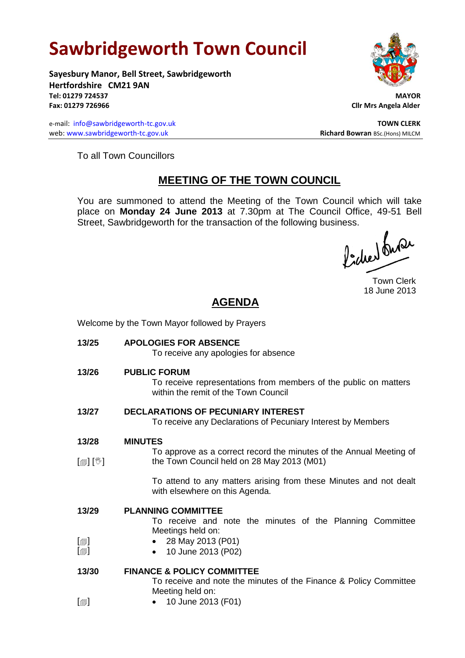## **Sawbridgeworth Town Council**

Welcome by the Town Mayor followed by Prayers

**Sayesbury Manor, Bell Street, Sawbridgeworth Hertfordshire CM21 9AN Tel: 01279 724537 MAYOR Fax: 01279 726966 Cllr Mrs Angela Alder**

e-mail: [info@sawbridgeworth-tc.gov.uk](mailto:info@sawbridgeworth-tc.gov.uk) **TOWN CLERK TOWN CLERK** web: www.sawbridgeworth-tc.gov.uk **Richard Bowran** BSc.(Hons) MILCM



To all Town Councillors

## **MEETING OF THE TOWN COUNCIL**

You are summoned to attend the Meeting of the Town Council which will take place on **Monday 24 June 2013** at 7.30pm at The Council Office, 49-51 Bell Street, Sawbridgeworth for the transaction of the following business.<br>  $\int$ 

Town Clerk 18 June 2013

## **AGENDA**

| 13/25<br><b>APOLOGIES FOR ABSENCE</b><br>To receive any apologies for absence<br>13/26<br><b>PUBLIC FORUM</b><br>To receive representations from members of the public on matters<br>within the remit of the Town Council<br><b>DECLARATIONS OF PECUNIARY INTEREST</b><br>13/27<br>To receive any Declarations of Pecuniary Interest by Members<br>13/28<br><b>MINUTES</b><br>To approve as a correct record the minutes of the Annual Meeting of<br>[@] [V]<br>the Town Council held on 28 May 2013 (M01)<br>To attend to any matters arising from these Minutes and not dealt<br>with elsewhere on this Agenda.<br>13/29<br><b>PLANNING COMMITTEE</b><br>To receive and note the minutes of the Planning Committee<br>Meetings held on:<br>$\lbrack \oplus \rbrack$<br>28 May 2013 (P01)<br>$\lbrack \oplus \rbrack$<br>10 June 2013 (P02)<br>13/30<br><b>FINANCE &amp; POLICY COMMITTEE</b><br>To receive and note the minutes of the Finance & Policy Committee<br>Meeting held on:<br>$\lbrack \bigcirc \rbrack$<br>10 June 2013 (F01) |  |
|---------------------------------------------------------------------------------------------------------------------------------------------------------------------------------------------------------------------------------------------------------------------------------------------------------------------------------------------------------------------------------------------------------------------------------------------------------------------------------------------------------------------------------------------------------------------------------------------------------------------------------------------------------------------------------------------------------------------------------------------------------------------------------------------------------------------------------------------------------------------------------------------------------------------------------------------------------------------------------------------------------------------------------------------|--|
|                                                                                                                                                                                                                                                                                                                                                                                                                                                                                                                                                                                                                                                                                                                                                                                                                                                                                                                                                                                                                                             |  |
|                                                                                                                                                                                                                                                                                                                                                                                                                                                                                                                                                                                                                                                                                                                                                                                                                                                                                                                                                                                                                                             |  |
|                                                                                                                                                                                                                                                                                                                                                                                                                                                                                                                                                                                                                                                                                                                                                                                                                                                                                                                                                                                                                                             |  |
|                                                                                                                                                                                                                                                                                                                                                                                                                                                                                                                                                                                                                                                                                                                                                                                                                                                                                                                                                                                                                                             |  |
|                                                                                                                                                                                                                                                                                                                                                                                                                                                                                                                                                                                                                                                                                                                                                                                                                                                                                                                                                                                                                                             |  |
|                                                                                                                                                                                                                                                                                                                                                                                                                                                                                                                                                                                                                                                                                                                                                                                                                                                                                                                                                                                                                                             |  |
|                                                                                                                                                                                                                                                                                                                                                                                                                                                                                                                                                                                                                                                                                                                                                                                                                                                                                                                                                                                                                                             |  |
|                                                                                                                                                                                                                                                                                                                                                                                                                                                                                                                                                                                                                                                                                                                                                                                                                                                                                                                                                                                                                                             |  |
|                                                                                                                                                                                                                                                                                                                                                                                                                                                                                                                                                                                                                                                                                                                                                                                                                                                                                                                                                                                                                                             |  |
|                                                                                                                                                                                                                                                                                                                                                                                                                                                                                                                                                                                                                                                                                                                                                                                                                                                                                                                                                                                                                                             |  |
|                                                                                                                                                                                                                                                                                                                                                                                                                                                                                                                                                                                                                                                                                                                                                                                                                                                                                                                                                                                                                                             |  |
|                                                                                                                                                                                                                                                                                                                                                                                                                                                                                                                                                                                                                                                                                                                                                                                                                                                                                                                                                                                                                                             |  |